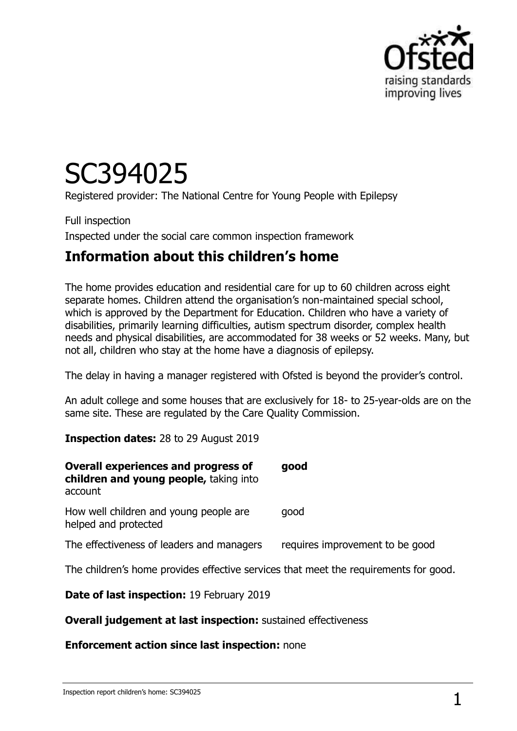

# SC394025

Registered provider: The National Centre for Young People with Epilepsy

Full inspection Inspected under the social care common inspection framework

### **Information about this children's home**

The home provides education and residential care for up to 60 children across eight separate homes. Children attend the organisation's non-maintained special school, which is approved by the Department for Education. Children who have a variety of disabilities, primarily learning difficulties, autism spectrum disorder, complex health needs and physical disabilities, are accommodated for 38 weeks or 52 weeks. Many, but not all, children who stay at the home have a diagnosis of epilepsy.

The delay in having a manager registered with Ofsted is beyond the provider's control.

An adult college and some houses that are exclusively for 18- to 25-year-olds are on the same site. These are regulated by the Care Quality Commission.

**Inspection dates:** 28 to 29 August 2019

| <b>Overall experiences and progress of</b><br>children and young people, taking into<br>account | good                            |
|-------------------------------------------------------------------------------------------------|---------------------------------|
| How well children and young people are<br>helped and protected                                  | qood                            |
| The effectiveness of leaders and managers                                                       | requires improvement to be good |
| The children's home provides effective services that meet the requirements for good.            |                                 |
| Date of last inspection: 19 February 2019                                                       |                                 |

**Overall judgement at last inspection:** sustained effectiveness

#### **Enforcement action since last inspection:** none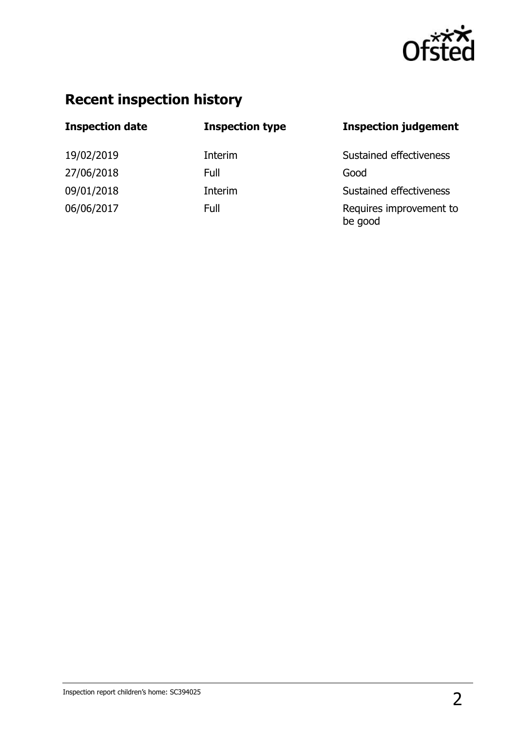

# **Recent inspection history**

| <b>Inspection date</b> | <b>Inspection type</b> | <b>Inspection judgement</b>        |
|------------------------|------------------------|------------------------------------|
| 19/02/2019             | Interim                | Sustained effectiveness            |
| 27/06/2018             | Full                   | Good                               |
| 09/01/2018             | Interim                | Sustained effectiveness            |
| 06/06/2017             | Full                   | Requires improvement to<br>be good |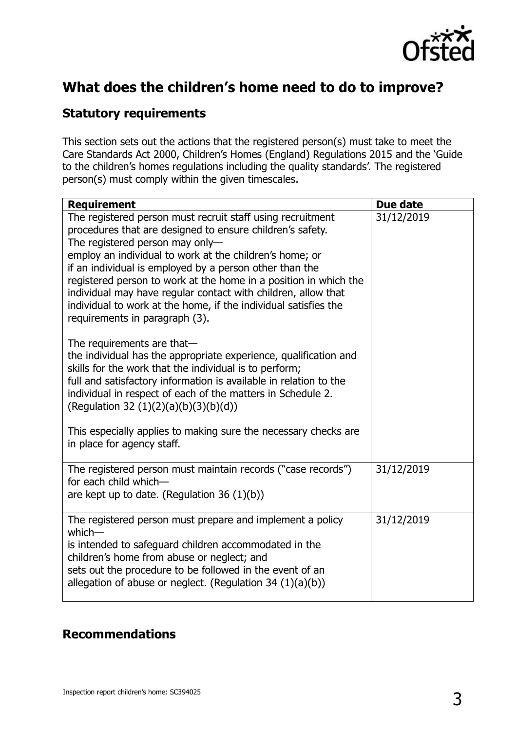

## **What does the children's home need to do to improve?**

#### **Statutory requirements**

This section sets out the actions that the registered person(s) must take to meet the Care Standards Act 2000, Children's Homes (England) Regulations 2015 and the 'Guide to the children's homes regulations including the quality standards'. The registered person(s) must comply within the given timescales.

| <b>Requirement</b>                                                                                                                                                                                                                                                                                                                                   | Due date   |
|------------------------------------------------------------------------------------------------------------------------------------------------------------------------------------------------------------------------------------------------------------------------------------------------------------------------------------------------------|------------|
| The registered person must recruit staff using recruitment<br>procedures that are designed to ensure children's safety.<br>The registered person may only-<br>employ an individual to work at the children's home; or<br>if an individual is employed by a person other than the<br>registered person to work at the home in a position in which the | 31/12/2019 |
| individual may have regular contact with children, allow that<br>individual to work at the home, if the individual satisfies the<br>requirements in paragraph (3).                                                                                                                                                                                   |            |
| The requirements are that-<br>the individual has the appropriate experience, qualification and<br>skills for the work that the individual is to perform;<br>full and satisfactory information is available in relation to the<br>individual in respect of each of the matters in Schedule 2.<br>(Regulation 32 (1)(2)(a)(b)(3)(b)(d))                |            |
| This especially applies to making sure the necessary checks are<br>in place for agency staff.                                                                                                                                                                                                                                                        |            |
| The registered person must maintain records ("case records")<br>for each child which-<br>are kept up to date. (Regulation 36 $(1)(b)$ )                                                                                                                                                                                                              | 31/12/2019 |
|                                                                                                                                                                                                                                                                                                                                                      |            |
| The registered person must prepare and implement a policy<br>$which$ —<br>is intended to safeguard children accommodated in the<br>children's home from abuse or neglect; and<br>sets out the procedure to be followed in the event of an<br>allegation of abuse or neglect. (Regulation 34 $(1)(a)(b)$ )                                            | 31/12/2019 |
|                                                                                                                                                                                                                                                                                                                                                      |            |

#### **Recommendations**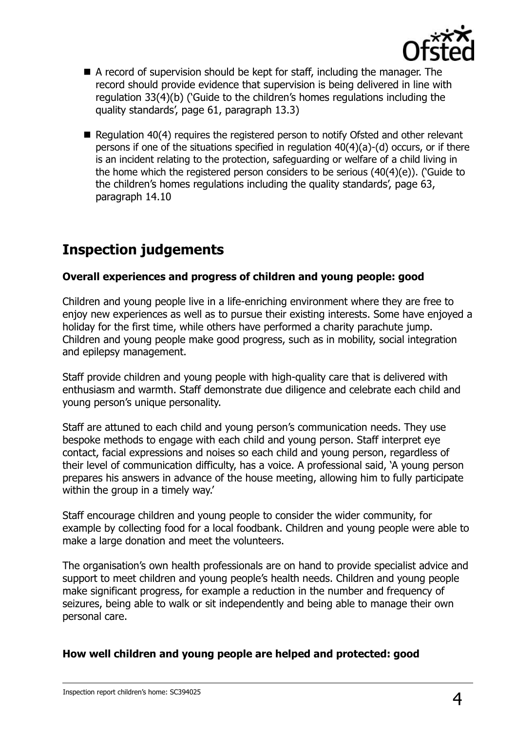

- A record of supervision should be kept for staff, including the manager. The record should provide evidence that supervision is being delivered in line with regulation 33(4)(b) ('Guide to the children's homes regulations including the quality standards', page 61, paragraph 13.3)
- Requiation 40(4) requires the registered person to notify Ofsted and other relevant persons if one of the situations specified in regulation 40(4)(a)-(d) occurs, or if there is an incident relating to the protection, safeguarding or welfare of a child living in the home which the registered person considers to be serious (40(4)(e)). ('Guide to the children's homes regulations including the quality standards', page 63, paragraph 14.10

## **Inspection judgements**

#### **Overall experiences and progress of children and young people: good**

Children and young people live in a life-enriching environment where they are free to enjoy new experiences as well as to pursue their existing interests. Some have enjoyed a holiday for the first time, while others have performed a charity parachute jump. Children and young people make good progress, such as in mobility, social integration and epilepsy management.

Staff provide children and young people with high-quality care that is delivered with enthusiasm and warmth. Staff demonstrate due diligence and celebrate each child and young person's unique personality.

Staff are attuned to each child and young person's communication needs. They use bespoke methods to engage with each child and young person. Staff interpret eye contact, facial expressions and noises so each child and young person, regardless of their level of communication difficulty, has a voice. A professional said, 'A young person prepares his answers in advance of the house meeting, allowing him to fully participate within the group in a timely way.'

Staff encourage children and young people to consider the wider community, for example by collecting food for a local foodbank. Children and young people were able to make a large donation and meet the volunteers.

The organisation's own health professionals are on hand to provide specialist advice and support to meet children and young people's health needs. Children and young people make significant progress, for example a reduction in the number and frequency of seizures, being able to walk or sit independently and being able to manage their own personal care.

#### **How well children and young people are helped and protected: good**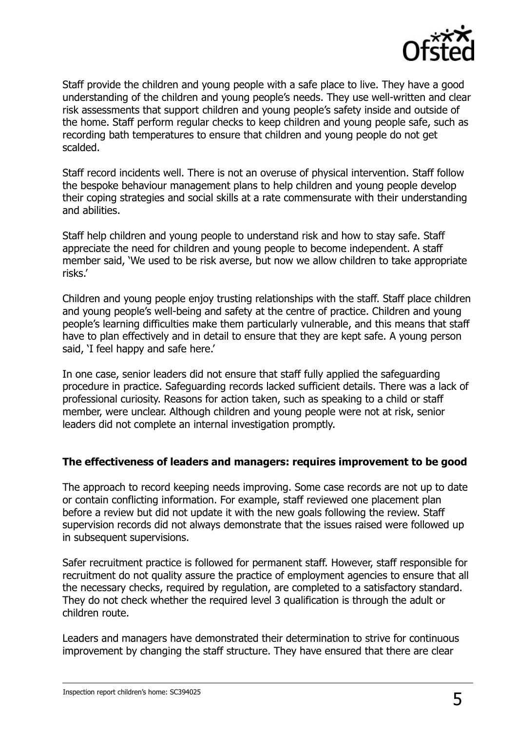

Staff provide the children and young people with a safe place to live. They have a good understanding of the children and young people's needs. They use well-written and clear risk assessments that support children and young people's safety inside and outside of the home. Staff perform regular checks to keep children and young people safe, such as recording bath temperatures to ensure that children and young people do not get scalded.

Staff record incidents well. There is not an overuse of physical intervention. Staff follow the bespoke behaviour management plans to help children and young people develop their coping strategies and social skills at a rate commensurate with their understanding and abilities.

Staff help children and young people to understand risk and how to stay safe. Staff appreciate the need for children and young people to become independent. A staff member said, 'We used to be risk averse, but now we allow children to take appropriate risks.'

Children and young people enjoy trusting relationships with the staff. Staff place children and young people's well-being and safety at the centre of practice. Children and young people's learning difficulties make them particularly vulnerable, and this means that staff have to plan effectively and in detail to ensure that they are kept safe. A young person said, 'I feel happy and safe here.'

In one case, senior leaders did not ensure that staff fully applied the safeguarding procedure in practice. Safeguarding records lacked sufficient details. There was a lack of professional curiosity. Reasons for action taken, such as speaking to a child or staff member, were unclear. Although children and young people were not at risk, senior leaders did not complete an internal investigation promptly.

#### **The effectiveness of leaders and managers: requires improvement to be good**

The approach to record keeping needs improving. Some case records are not up to date or contain conflicting information. For example, staff reviewed one placement plan before a review but did not update it with the new goals following the review. Staff supervision records did not always demonstrate that the issues raised were followed up in subsequent supervisions.

Safer recruitment practice is followed for permanent staff. However, staff responsible for recruitment do not quality assure the practice of employment agencies to ensure that all the necessary checks, required by regulation, are completed to a satisfactory standard. They do not check whether the required level 3 qualification is through the adult or children route.

Leaders and managers have demonstrated their determination to strive for continuous improvement by changing the staff structure. They have ensured that there are clear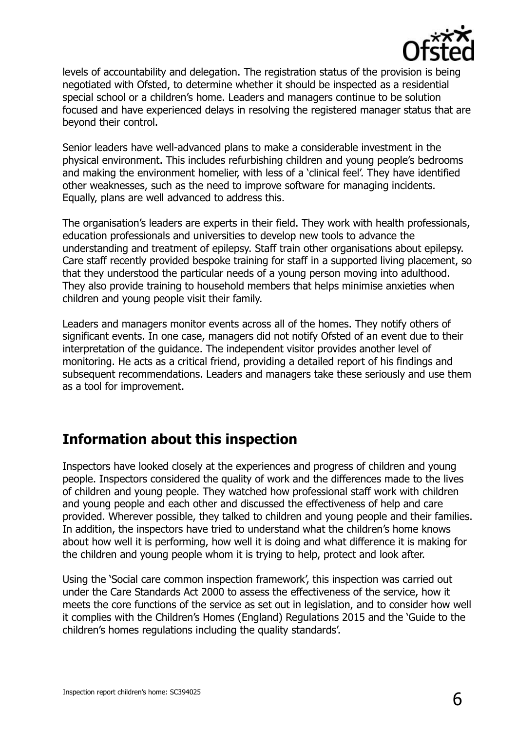

levels of accountability and delegation. The registration status of the provision is being negotiated with Ofsted, to determine whether it should be inspected as a residential special school or a children's home. Leaders and managers continue to be solution focused and have experienced delays in resolving the registered manager status that are beyond their control.

Senior leaders have well-advanced plans to make a considerable investment in the physical environment. This includes refurbishing children and young people's bedrooms and making the environment homelier, with less of a 'clinical feel'. They have identified other weaknesses, such as the need to improve software for managing incidents. Equally, plans are well advanced to address this.

The organisation's leaders are experts in their field. They work with health professionals, education professionals and universities to develop new tools to advance the understanding and treatment of epilepsy. Staff train other organisations about epilepsy. Care staff recently provided bespoke training for staff in a supported living placement, so that they understood the particular needs of a young person moving into adulthood. They also provide training to household members that helps minimise anxieties when children and young people visit their family.

Leaders and managers monitor events across all of the homes. They notify others of significant events. In one case, managers did not notify Ofsted of an event due to their interpretation of the guidance. The independent visitor provides another level of monitoring. He acts as a critical friend, providing a detailed report of his findings and subsequent recommendations. Leaders and managers take these seriously and use them as a tool for improvement.

## **Information about this inspection**

Inspectors have looked closely at the experiences and progress of children and young people. Inspectors considered the quality of work and the differences made to the lives of children and young people. They watched how professional staff work with children and young people and each other and discussed the effectiveness of help and care provided. Wherever possible, they talked to children and young people and their families. In addition, the inspectors have tried to understand what the children's home knows about how well it is performing, how well it is doing and what difference it is making for the children and young people whom it is trying to help, protect and look after.

Using the 'Social care common inspection framework', this inspection was carried out under the Care Standards Act 2000 to assess the effectiveness of the service, how it meets the core functions of the service as set out in legislation, and to consider how well it complies with the Children's Homes (England) Regulations 2015 and the 'Guide to the children's homes regulations including the quality standards'.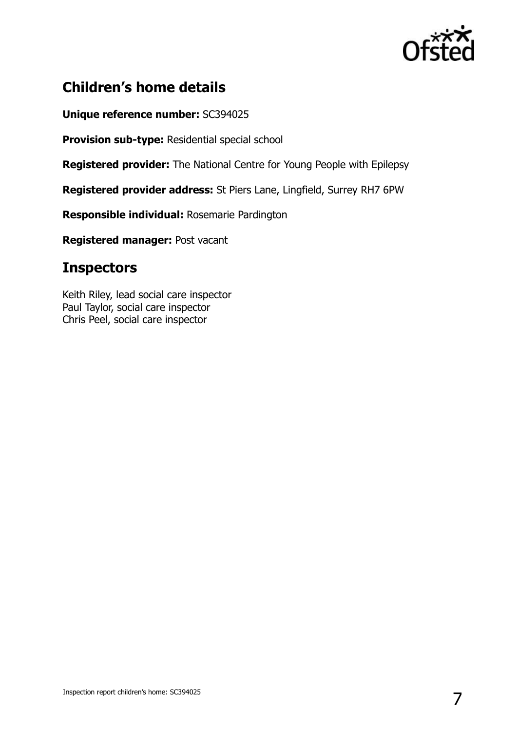

## **Children's home details**

**Unique reference number:** SC394025

**Provision sub-type:** Residential special school

**Registered provider:** The National Centre for Young People with Epilepsy

**Registered provider address:** St Piers Lane, Lingfield, Surrey RH7 6PW

**Responsible individual:** Rosemarie Pardington

**Registered manager:** Post vacant

### **Inspectors**

Keith Riley, lead social care inspector Paul Taylor, social care inspector Chris Peel, social care inspector